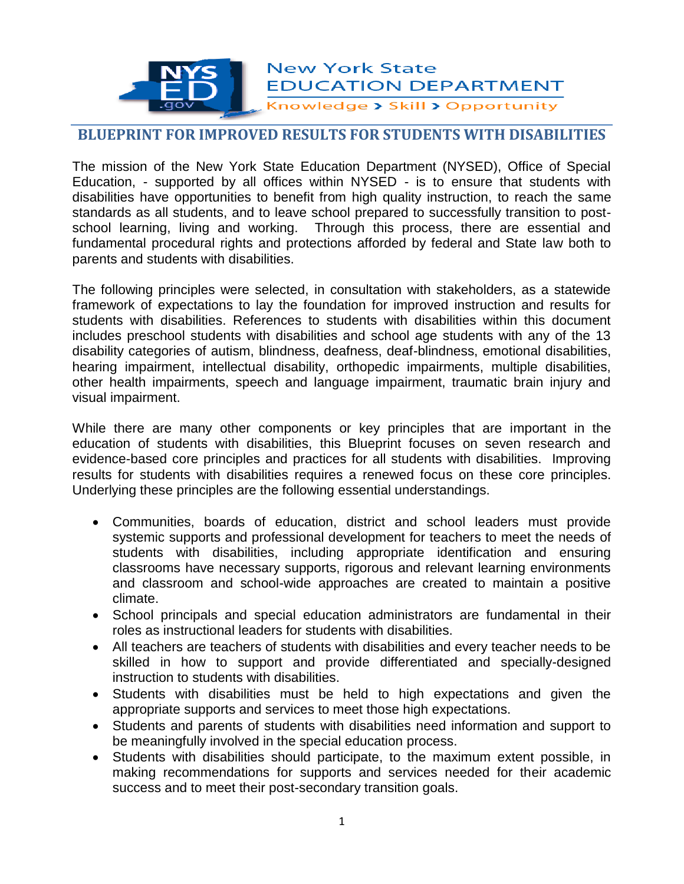# **New York State EDUCATION DEPARTMENT** Knowledge > Skill > Opportunity

## **BLUEPRINT FOR IMPROVED RESULTS FOR STUDENTS WITH DISABILITIES**

The mission of the New York State Education Department (NYSED), Office of Special Education, - supported by all offices within NYSED - is to ensure that students with disabilities have opportunities to benefit from high quality instruction, to reach the same standards as all students, and to leave school prepared to successfully transition to postschool learning, living and working. Through this process, there are essential and fundamental procedural rights and protections afforded by federal and State law both to parents and students with disabilities.

The following principles were selected, in consultation with stakeholders, as a statewide framework of expectations to lay the foundation for improved instruction and results for students with disabilities. References to students with disabilities within this document includes preschool students with disabilities and school age students with any of the 13 disability categories of autism, blindness, deafness, deaf-blindness, emotional disabilities, hearing impairment, intellectual disability, orthopedic impairments, multiple disabilities, other health impairments, speech and language impairment, traumatic brain injury and visual impairment.

While there are many other components or key principles that are important in the education of students with disabilities, this Blueprint focuses on seven research and evidence-based core principles and practices for all students with disabilities. Improving results for students with disabilities requires a renewed focus on these core principles. Underlying these principles are the following essential understandings.

- Communities, boards of education, district and school leaders must provide systemic supports and professional development for teachers to meet the needs of students with disabilities, including appropriate identification and ensuring classrooms have necessary supports, rigorous and relevant learning environments and classroom and school-wide approaches are created to maintain a positive climate.
- School principals and special education administrators are fundamental in their roles as instructional leaders for students with disabilities.
- All teachers are teachers of students with disabilities and every teacher needs to be skilled in how to support and provide differentiated and specially-designed instruction to students with disabilities.
- Students with disabilities must be held to high expectations and given the appropriate supports and services to meet those high expectations.
- Students and parents of students with disabilities need information and support to be meaningfully involved in the special education process.
- Students with disabilities should participate, to the maximum extent possible, in making recommendations for supports and services needed for their academic success and to meet their post-secondary transition goals.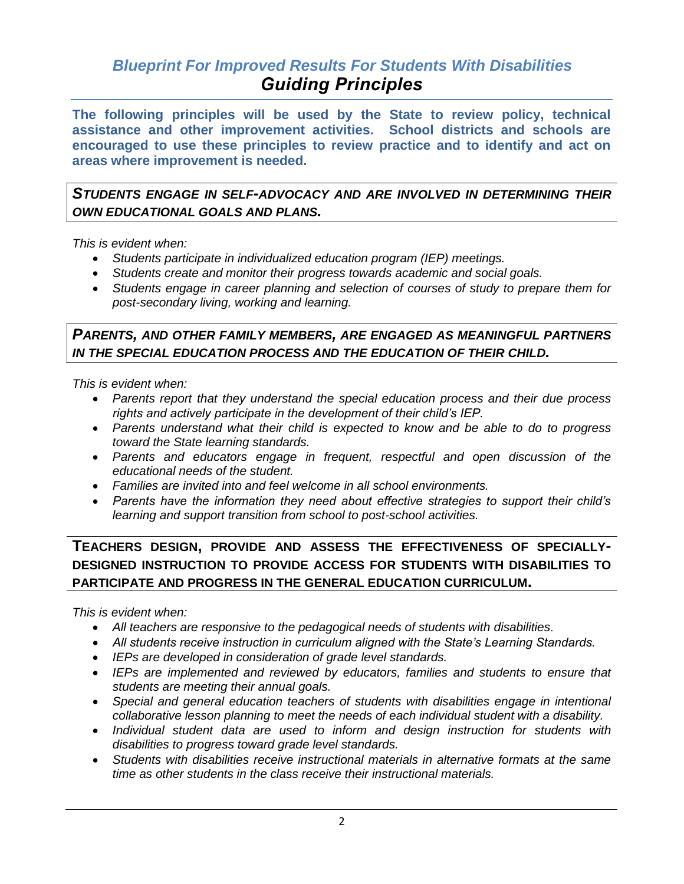# *Blueprint For Improved Results For Students With Disabilities Guiding Principles*

**The following principles will be used by the State to review policy, technical assistance and other improvement activities. School districts and schools are encouraged to use these principles to review practice and to identify and act on areas where improvement is needed.** 

*STUDENTS ENGAGE IN SELF-ADVOCACY AND ARE INVOLVED IN DETERMINING THEIR OWN EDUCATIONAL GOALS AND PLANS.*

*This is evident when:*

- *Students participate in individualized education program (IEP) meetings.*
- *Students create and monitor their progress towards academic and social goals.*
- *Students engage in career planning and selection of courses of study to prepare them for post-secondary living, working and learning.*

### *PARENTS, AND OTHER FAMILY MEMBERS, ARE ENGAGED AS MEANINGFUL PARTNERS IN THE SPECIAL EDUCATION PROCESS AND THE EDUCATION OF THEIR CHILD.*

*This is evident when:*

- *Parents report that they understand the special education process and their due process rights and actively participate in the development of their child's IEP.*
- *Parents understand what their child is expected to know and be able to do to progress toward the State learning standards.*
- *Parents and educators engage in frequent, respectful and open discussion of the educational needs of the student.*
- *Families are invited into and feel welcome in all school environments.*
- *Parents have the information they need about effective strategies to support their child's learning and support transition from school to post-school activities.*

# **TEACHERS DESIGN, PROVIDE AND ASSESS THE EFFECTIVENESS OF SPECIALLY-DESIGNED INSTRUCTION TO PROVIDE ACCESS FOR STUDENTS WITH DISABILITIES TO PARTICIPATE AND PROGRESS IN THE GENERAL EDUCATION CURRICULUM.**

*This is evident when:*

- *All teachers are responsive to the pedagogical needs of students with disabilities*.
- *All students receive instruction in curriculum aligned with the State's Learning Standards.*
- *IEPs are developed in consideration of grade level standards.*
- *IEPs are implemented and reviewed by educators, families and students to ensure that students are meeting their annual goals.*
- *Special and general education teachers of students with disabilities engage in intentional collaborative lesson planning to meet the needs of each individual student with a disability.*
- *Individual student data are used to inform and design instruction for students with disabilities to progress toward grade level standards.*
- *Students with disabilities receive instructional materials in alternative formats at the same time as other students in the class receive their instructional materials.*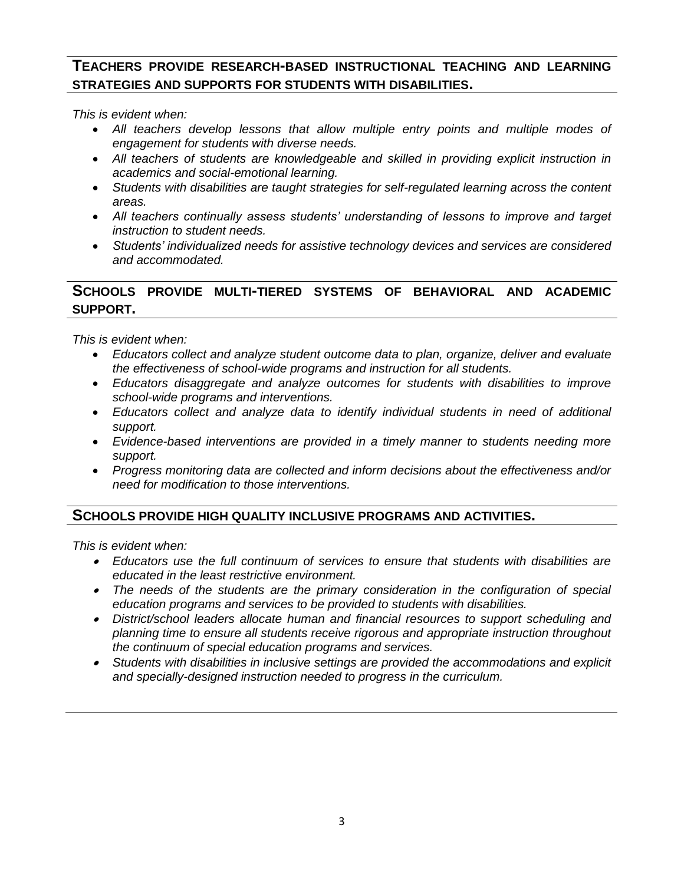## **TEACHERS PROVIDE RESEARCH-BASED INSTRUCTIONAL TEACHING AND LEARNING STRATEGIES AND SUPPORTS FOR STUDENTS WITH DISABILITIES.**

*This is evident when:*

- *All teachers develop lessons that allow multiple entry points and multiple modes of engagement for students with diverse needs.*
- *All teachers of students are knowledgeable and skilled in providing explicit instruction in academics and social-emotional learning.*
- *Students with disabilities are taught strategies for self-regulated learning across the content areas.*
- *All teachers continually assess students' understanding of lessons to improve and target instruction to student needs.*
- *Students' individualized needs for assistive technology devices and services are considered and accommodated.*

### **SCHOOLS PROVIDE MULTI-TIERED SYSTEMS OF BEHAVIORAL AND ACADEMIC SUPPORT.**

*This is evident when:*

- *Educators collect and analyze student outcome data to plan, organize, deliver and evaluate the effectiveness of school-wide programs and instruction for all students.*
- *Educators disaggregate and analyze outcomes for students with disabilities to improve school-wide programs and interventions.*
- *Educators collect and analyze data to identify individual students in need of additional support.*
- *Evidence-based interventions are provided in a timely manner to students needing more support.*
- *Progress monitoring data are collected and inform decisions about the effectiveness and/or need for modification to those interventions.*

#### **SCHOOLS PROVIDE HIGH QUALITY INCLUSIVE PROGRAMS AND ACTIVITIES.**

*This is evident when:*

- *Educators use the full continuum of services to ensure that students with disabilities are educated in the least restrictive environment.*
- *The needs of the students are the primary consideration in the configuration of special education programs and services to be provided to students with disabilities.*
- *District/school leaders allocate human and financial resources to support scheduling and planning time to ensure all students receive rigorous and appropriate instruction throughout the continuum of special education programs and services.*
- *Students with disabilities in inclusive settings are provided the accommodations and explicit and specially-designed instruction needed to progress in the curriculum.*